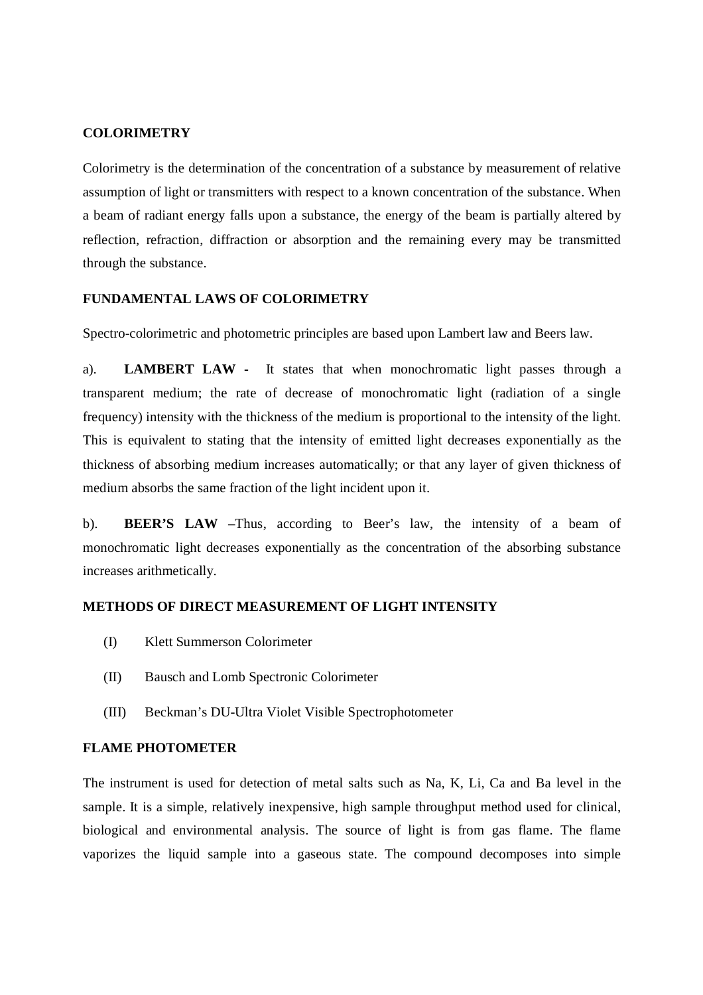### **COLORIMETRY**

Colorimetry is the determination of the concentration of a substance by measurement of relative assumption of light or transmitters with respect to a known concentration of the substance. When a beam of radiant energy falls upon a substance, the energy of the beam is partially altered by reflection, refraction, diffraction or absorption and the remaining every may be transmitted through the substance.

## **FUNDAMENTAL LAWS OF COLORIMETRY**

Spectro-colorimetric and photometric principles are based upon Lambert law and Beers law.

a). **LAMBERT LAW -** It states that when monochromatic light passes through a transparent medium; the rate of decrease of monochromatic light (radiation of a single frequency) intensity with the thickness of the medium is proportional to the intensity of the light. This is equivalent to stating that the intensity of emitted light decreases exponentially as the thickness of absorbing medium increases automatically; or that any layer of given thickness of medium absorbs the same fraction of the light incident upon it.

b). **BEER'S LAW –**Thus, according to Beer's law, the intensity of a beam of monochromatic light decreases exponentially as the concentration of the absorbing substance increases arithmetically.

### **METHODS OF DIRECT MEASUREMENT OF LIGHT INTENSITY**

- (I) Klett Summerson Colorimeter
- (II) Bausch and Lomb Spectronic Colorimeter
- (III) Beckman's DU-Ultra Violet Visible Spectrophotometer

# **FLAME PHOTOMETER**

The instrument is used for detection of metal salts such as Na, K, Li, Ca and Ba level in the sample. It is a simple, relatively inexpensive, high sample throughput method used for clinical, biological and environmental analysis. The source of light is from gas flame. The flame vaporizes the liquid sample into a gaseous state. The compound decomposes into simple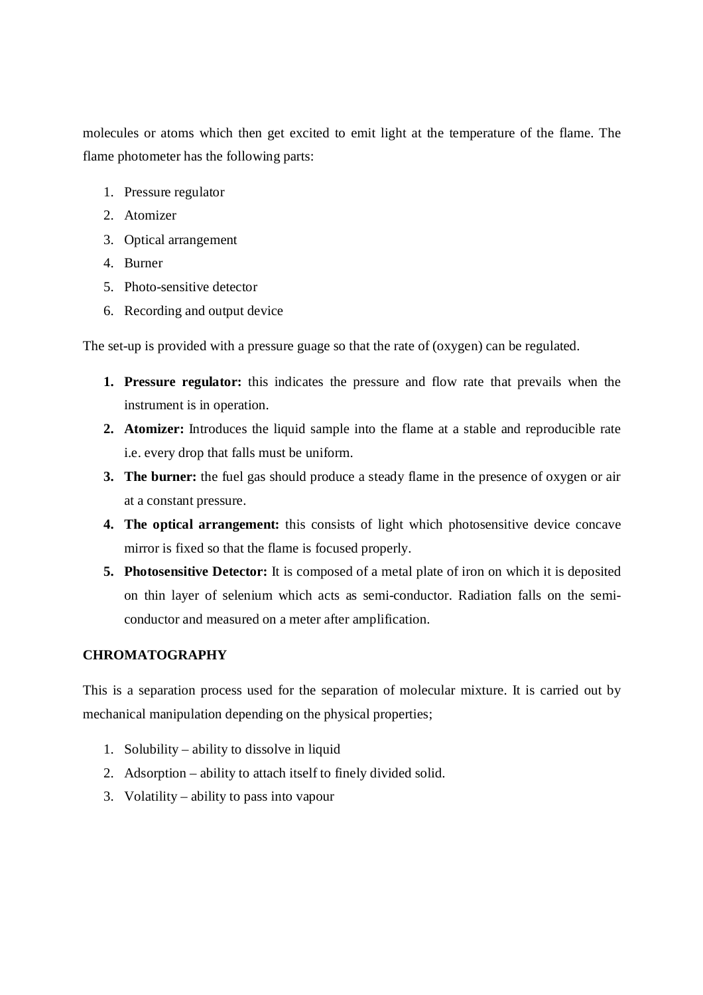molecules or atoms which then get excited to emit light at the temperature of the flame. The flame photometer has the following parts:

- 1. Pressure regulator
- 2. Atomizer
- 3. Optical arrangement
- 4. Burner
- 5. Photo-sensitive detector
- 6. Recording and output device

The set-up is provided with a pressure guage so that the rate of (oxygen) can be regulated.

- **1. Pressure regulator:** this indicates the pressure and flow rate that prevails when the instrument is in operation.
- **2. Atomizer:** Introduces the liquid sample into the flame at a stable and reproducible rate i.e. every drop that falls must be uniform.
- **3. The burner:** the fuel gas should produce a steady flame in the presence of oxygen or air at a constant pressure.
- **4. The optical arrangement:** this consists of light which photosensitive device concave mirror is fixed so that the flame is focused properly.
- **5. Photosensitive Detector:** It is composed of a metal plate of iron on which it is deposited on thin layer of selenium which acts as semi-conductor. Radiation falls on the semiconductor and measured on a meter after amplification.

# **CHROMATOGRAPHY**

This is a separation process used for the separation of molecular mixture. It is carried out by mechanical manipulation depending on the physical properties;

- 1. Solubility ability to dissolve in liquid
- 2. Adsorption ability to attach itself to finely divided solid.
- 3. Volatility ability to pass into vapour